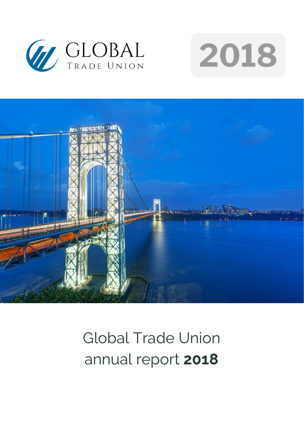





# Global Trade Union annual report **2018**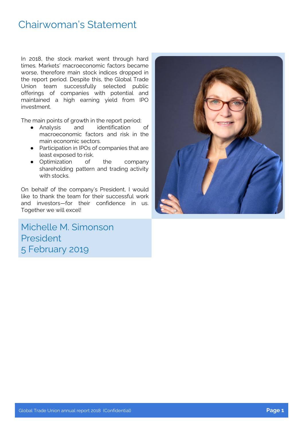### Chairwoman's Statement

In 2018, the stock market went through hard times. Markets' macroeconomic factors became worse, therefore main stock indices dropped in the report period. Despite this, the Global Trade Union team successfully selected public offerings of companies with potential and maintained a high earning yield from IPO investment.

The main points of growth in the report period:<br>• Analysis and identification of

- Analysis and identification macroeconomic factors and risk in the main economic sectors.
- Participation in IPOs of companies that are least exposed to risk.
- Optimization of the company shareholding pattern and trading activity with stocks.

On behalf of the company's President, I would like to thank the team for their successful work and investors—for their confidence in us. Together we will excel!

Michelle M. Simonson President 5 February 2019

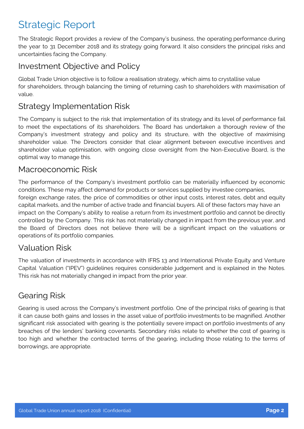### Strategic Report

The Strategic Report provides a review of the Company's business, the operating performance during the year to 31 December 2018 and its strategy going forward. It also considers the principal risks and uncertainties facing the Company.

#### Investment Objective and Policy

Global Trade Union objective is to follow a realisation strategy, which aims to crystallise value for shareholders, through balancing the timing of returning cash to shareholders with maximisation of value.

#### Strategy Implementation Risk

The Company is subject to the risk that implementation of its strategy and its level of performance fail to meet the expectations of its shareholders. The Board has undertaken a thorough review of the Company's investment strategy and policy and its structure, with the objective of maximising shareholder value. The Directors consider that clear alignment between executive incentives and shareholder value optimisation, with ongoing close oversight from the Non-Executive Board, is the optimal way to manage this.

#### Macroeconomic Risk

The performance of the Company's investment portfolio can be materially influenced by economic conditions. These may affect demand for products or services supplied by investee companies, foreign exchange rates, the price of commodities or other input costs, interest rates, debt and equity capital markets, and the number of active trade and financial buyers. All of these factors may have an impact on the Company's ability to realise a return from its investment portfolio and cannot be directly controlled by the Company. This risk has not materially changed in impact from the previous year, and the Board of Directors does not believe there will be a significant impact on the valuations or operations of its portfolio companies.

#### Valuation Risk

The valuation of investments in accordance with IFRS 13 and International Private Equity and Venture Capital Valuation ("IPEV") guidelines requires considerable judgement and is explained in the Notes. This risk has not materially changed in impact from the prior year.

#### Gearing Risk

Gearing is used across the Company's investment portfolio. One of the principal risks of gearing is that it can cause both gains and losses in the asset value of portfolio investments to be magnified. Another significant risk associated with gearing is the potentially severe impact on portfolio investments of any breaches of the lenders' banking covenants. Secondary risks relate to whether the cost of gearing is too high and whether the contracted terms of the gearing, including those relating to the terms of borrowings, are appropriate.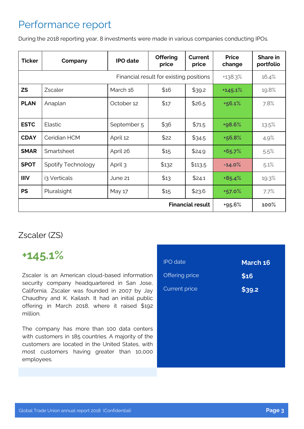### Performance report

During the 2018 reporting year, 8 investments were made in various companies conducting IPOs.

| <b>Ticker</b>                           | Company            | <b>IPO</b> date | <b>Offering</b><br>price | Current<br>price | <b>Price</b><br>change | Share in<br>portfolio |
|-----------------------------------------|--------------------|-----------------|--------------------------|------------------|------------------------|-----------------------|
| Financial result for existing positions |                    |                 | +138.3%                  | 16.4%            |                        |                       |
| <b>ZS</b>                               | Zscaler            | March 16        | \$16                     | \$39.2           | $+145.1%$              | 19.8%                 |
| <b>PLAN</b>                             | Anaplan            | October 12      | \$17                     | \$26.5           | +56.1%                 | 7.8%                  |
| <b>ESTC</b>                             | Elastic            | September 5     | \$36                     | \$71.5           | +98.6%                 | 13.5%                 |
| <b>CDAY</b>                             | Ceridian HCM       | April 12        | \$22                     | \$34.5           | +56.8%                 | 4.9%                  |
| <b>SMAR</b>                             | Smartsheet         | April 26        | \$15                     | \$24.9           | $+65.7%$               | 5.5%                  |
| <b>SPOT</b>                             | Spotify Technology | April 3         | \$132                    | \$113.5          | $-14.0%$               | 5.1%                  |
| <b>IIIV</b>                             | i3 Verticals       | June 21         | \$13                     | \$24.1           | $+85.4%$               | 19.3%                 |
| <b>PS</b>                               | Pluralsight        | May 17          | \$15                     | \$23.6           | +57.0%                 | 7.7%                  |
| <b>Financial result</b>                 |                    |                 |                          | +95.6%           | 100%                   |                       |

#### Zscaler (ZS)

### **+145.1%**

Zscaler is an American cloud-based information security company headquartered in San Jose, California. Zscaler was founded in 2007 by Jay Chaudhry and K. Kailash. It had an initial public offering in March 2018, where it raised \$192 million.

The company has more than 100 data centers with customers in 185 countries. A majority of the customers are located in the United States, with most customers having greater than 10,000 employees.

| <b>IPO</b> date      | March 16 |
|----------------------|----------|
| Offering price       | \$16     |
| <b>Current price</b> | \$39.2   |
|                      |          |
|                      |          |
|                      |          |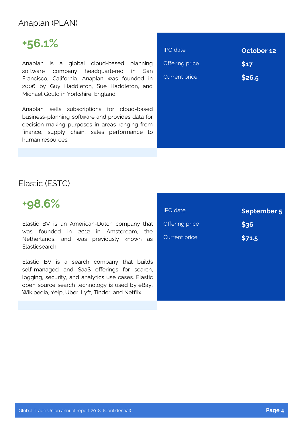#### Anaplan (PLAN)

# **+56.1%**

Anaplan is a global cloud-based planning software company headquartered in San Francisco, California. Anaplan was founded in 2006 by Guy Haddleton, Sue Haddleton, and Michael Gould in Yorkshire, England.

Anaplan sells subscriptions for cloud-based business-planning software and provides data for decision-making purposes in areas ranging from finance, supply chain, sales performance to human resources.

| <b>IPO</b> date       | October 12 |
|-----------------------|------------|
| <b>Offering price</b> | \$17       |
| <b>Current price</b>  | \$26.5     |
|                       |            |
|                       |            |
|                       |            |
|                       |            |
|                       |            |

#### Elastic (ESTC)

### **+98.6%**

Elastic BV is an American-Dutch company that was founded in 2012 in Amsterdam, the Netherlands, and was previously known as Elasticsearch.

Elastic BV is a search company that builds self-managed and SaaS offerings for search, logging, security, and analytics use cases. Elastic open source search technology is used by eBay, Wikipedia, Yelp, Uber, Lyft, Tinder, and Netflix.

| <b>IPO</b> date      | <b>September 5</b> |
|----------------------|--------------------|
| Offering price       | \$36               |
| <b>Current price</b> | \$71.5             |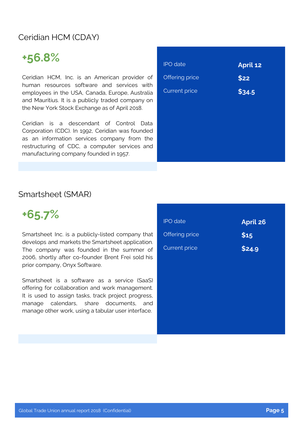#### Ceridian HCM (CDAY)

# **+56.8%**

Ceridian HCM, Inc. is an American provider of human resources software and services with employees in the USA, Canada, Europe, Australia and Mauritius. It is a publicly traded company on the New York Stock Exchange as of April 2018.

Ceridian is a descendant of Control Data Corporation (CDC). In 1992, Ceridian was founded as an information services company from the restructuring of CDC, a computer services and manufacturing company founded in 1957.

| <b>IPO</b> date      | <b>April 12</b> |
|----------------------|-----------------|
| Offering price       | \$22            |
| <b>Current price</b> | \$34.5          |
|                      |                 |
|                      |                 |
|                      |                 |
|                      |                 |
|                      |                 |

#### Smartsheet (SMAR)

**+65.7%**

Smartsheet Inc. is a publicly-listed company that develops and markets the Smartsheet application. The company was founded in the summer of 2006, shortly after co-founder Brent Frei sold his prior company, Onyx Software.

Smartsheet is a software as a service (SaaS) offering for collaboration and work management. It is used to assign tasks, track project progress, manage calendars, share documents, and manage other work, using a tabular user interface.

| <b>IPO</b> date      | <b>April 26</b> |
|----------------------|-----------------|
| Offering price       | \$15            |
| <b>Current price</b> | \$24.9          |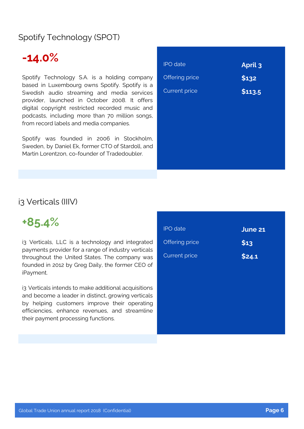#### Spotify Technology (SPOT)

### **-14.0%**

Spotify Technology S.A. is a holding company based in Luxembourg owns Spotify. Spotify is a Swedish audio streaming and media services provider, launched in October 2008. It offers digital copyright restricted recorded music and podcasts, including more than 70 million songs, from record labels and media companies.

Spotify was founded in 2006 in Stockholm, Sweden, by Daniel Ek, former CTO of Stardoll, and Martin Lorentzon, co-founder of Tradedoubler.

| <b>IPO</b> date      | <b>April 3</b> |
|----------------------|----------------|
| Offering price       | \$132          |
| <b>Current price</b> | \$113.5        |
|                      |                |
|                      |                |
|                      |                |
|                      |                |
|                      |                |
|                      |                |

#### i3 Verticals (IIIV)

### **+85.4%**

i3 Verticals, LLC is a technology and integrated payments provider for a range of industry verticals throughout the United States. The company was founded in 2012 by Greg Daily, the former CEO of iPayment.

i3 Verticals intends to make additional acquisitions and become a leader in distinct, growing verticals by helping customers improve their operating efficiencies, enhance revenues, and streamline their payment processing functions.

| <b>IPO</b> date       | June 21         |
|-----------------------|-----------------|
| <b>Offering price</b> | S <sub>13</sub> |
| Current price         | \$24.1          |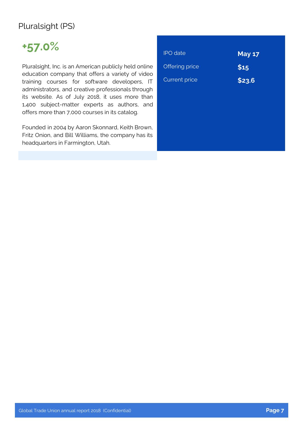#### Pluralsight (PS)

## **+57.0%**

Pluralsight, Inc. is an American publicly held online education company that offers a variety of video training courses for software developers, IT administrators, and creative professionals through its website. As of July 2018, it uses more than 1,400 subject-matter experts as authors, and offers more than 7,000 courses in its catalog.

Founded in 2004 by Aaron Skonnard, Keith Brown, Fritz Onion, and Bill Williams, the company has its headquarters in Farmington, Utah.

| <b>IPO</b> date      | <b>May 17</b> |
|----------------------|---------------|
| Offering price       | \$15          |
| <b>Current price</b> | \$23.6        |
|                      |               |
|                      |               |
|                      |               |
|                      |               |
|                      |               |
|                      |               |